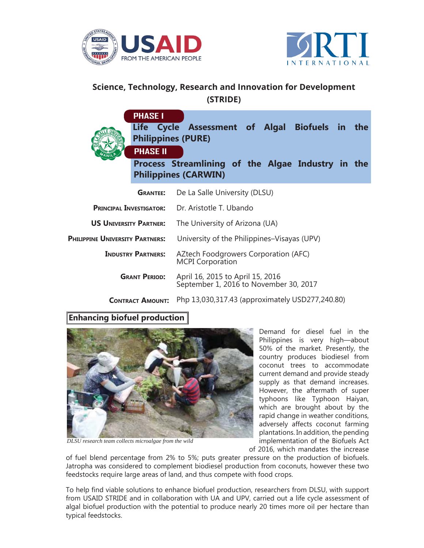



## **Science, Technology, Research and Innovation for Development (STRIDE)**

|                                                   | <b>PHASE I</b><br><b>Philippines (PURE)</b><br><b>PHASE II</b> | Life Cycle Assessment of Algal Biofuels in the<br>Process Streamlining of the Algae Industry in the<br><b>Philippines (CARWIN)</b> |
|---------------------------------------------------|----------------------------------------------------------------|------------------------------------------------------------------------------------------------------------------------------------|
|                                                   | <b>GRANTEE:</b>                                                | De La Salle University (DLSU)                                                                                                      |
| <b>PRINCIPAL INVESTIGATOR:</b>                    |                                                                | Dr. Aristotle T. Ubando                                                                                                            |
| <b>US UNIVERSITY PARTNER:</b>                     |                                                                | The University of Arizona (UA)                                                                                                     |
| <b>PHILIPPINE UNIVERSITY PARTNERS:</b>            |                                                                | University of the Philippines–Visayas (UPV)                                                                                        |
| <b>INDUSTRY PARTNERS:</b><br><b>GRANT PERIOD:</b> |                                                                | AZtech Foodgrowers Corporation (AFC)<br><b>MCPI Corporation</b>                                                                    |
|                                                   |                                                                | April 16, 2015 to April 15, 2016<br>September 1, 2016 to November 30, 2017                                                         |

Php 13,030,317.43 (approximately USD277,240.80) **CONTRACT AMOUNT:**

## **Enhancing biofuel production**



*DLSU research team collects microalgae from the wild*

Demand for diesel fuel in the Philippines is very high—about 50% of the market. Presently, the country produces biodiesel from coconut trees to accommodate current demand and provide steady supply as that demand increases. However, the aftermath of super typhoons like Typhoon Haiyan, which are brought about by the rapid change in weather conditions, adversely affects coconut farming plantations. In addition, the pending implementation of the Biofuels Act of 2016, which mandates the increase

of fuel blend percentage from 2% to 5%; puts greater pressure on the production of biofuels. Jatropha was considered to complement biodiesel production from coconuts, however these two feedstocks require large areas of land, and thus compete with food crops.

To help find viable solutions to enhance biofuel production, researchers from DLSU, with support from USAID STRIDE and in collaboration with UA and UPV, carried out a life cycle assessment of algal biofuel production with the potential to produce nearly 20 times more oil per hectare than typical feedstocks.